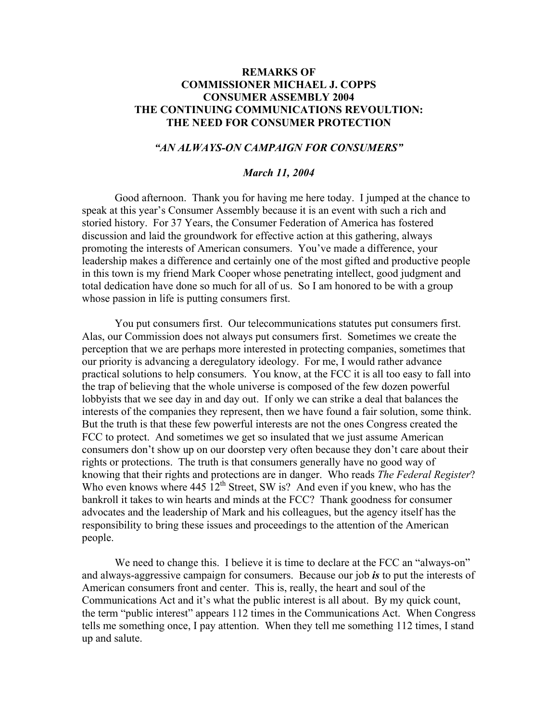# **REMARKS OF COMMISSIONER MICHAEL J. COPPS CONSUMER ASSEMBLY 2004 THE CONTINUING COMMUNICATIONS REVOULTION: THE NEED FOR CONSUMER PROTECTION**

## *"AN ALWAYS-ON CAMPAIGN FOR CONSUMERS"*

### *March 11, 2004*

 Good afternoon. Thank you for having me here today. I jumped at the chance to speak at this year's Consumer Assembly because it is an event with such a rich and storied history. For 37 Years, the Consumer Federation of America has fostered discussion and laid the groundwork for effective action at this gathering, always promoting the interests of American consumers. You've made a difference, your leadership makes a difference and certainly one of the most gifted and productive people in this town is my friend Mark Cooper whose penetrating intellect, good judgment and total dedication have done so much for all of us. So I am honored to be with a group whose passion in life is putting consumers first.

You put consumers first. Our telecommunications statutes put consumers first. Alas, our Commission does not always put consumers first. Sometimes we create the perception that we are perhaps more interested in protecting companies, sometimes that our priority is advancing a deregulatory ideology. For me, I would rather advance practical solutions to help consumers. You know, at the FCC it is all too easy to fall into the trap of believing that the whole universe is composed of the few dozen powerful lobbyists that we see day in and day out. If only we can strike a deal that balances the interests of the companies they represent, then we have found a fair solution, some think. But the truth is that these few powerful interests are not the ones Congress created the FCC to protect. And sometimes we get so insulated that we just assume American consumers don't show up on our doorstep very often because they don't care about their rights or protections. The truth is that consumers generally have no good way of knowing that their rights and protections are in danger. Who reads *The Federal Register*? Who even knows where  $445 \frac{12^{th}}{12^{th}}$  Street, SW is? And even if you knew, who has the bankroll it takes to win hearts and minds at the FCC? Thank goodness for consumer advocates and the leadership of Mark and his colleagues, but the agency itself has the responsibility to bring these issues and proceedings to the attention of the American people.

We need to change this. I believe it is time to declare at the FCC an "always-on" and always-aggressive campaign for consumers. Because our job *is* to put the interests of American consumers front and center. This is, really, the heart and soul of the Communications Act and it's what the public interest is all about. By my quick count, the term "public interest" appears 112 times in the Communications Act. When Congress tells me something once, I pay attention. When they tell me something 112 times, I stand up and salute.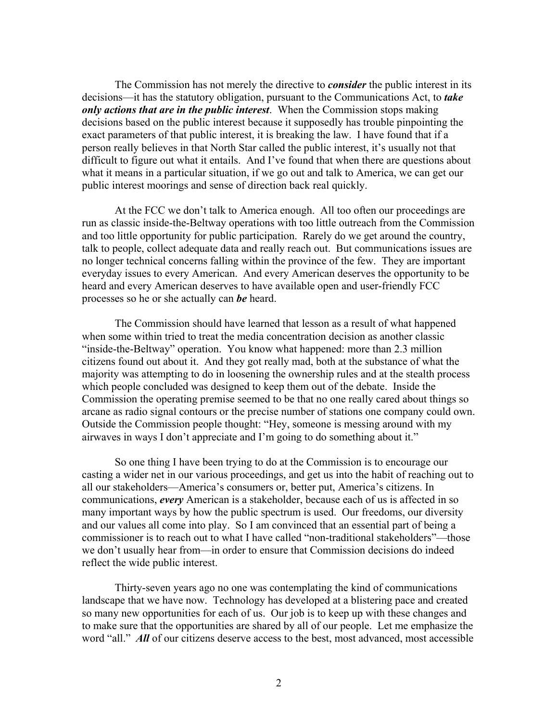The Commission has not merely the directive to *consider* the public interest in its decisions—it has the statutory obligation, pursuant to the Communications Act, to *take only actions that are in the public interest*. When the Commission stops making decisions based on the public interest because it supposedly has trouble pinpointing the exact parameters of that public interest, it is breaking the law. I have found that if a person really believes in that North Star called the public interest, it's usually not that difficult to figure out what it entails. And I've found that when there are questions about what it means in a particular situation, if we go out and talk to America, we can get our public interest moorings and sense of direction back real quickly.

At the FCC we don't talk to America enough. All too often our proceedings are run as classic inside-the-Beltway operations with too little outreach from the Commission and too little opportunity for public participation. Rarely do we get around the country, talk to people, collect adequate data and really reach out. But communications issues are no longer technical concerns falling within the province of the few. They are important everyday issues to every American. And every American deserves the opportunity to be heard and every American deserves to have available open and user-friendly FCC processes so he or she actually can *be* heard.

The Commission should have learned that lesson as a result of what happened when some within tried to treat the media concentration decision as another classic "inside-the-Beltway" operation. You know what happened: more than 2.3 million citizens found out about it. And they got really mad, both at the substance of what the majority was attempting to do in loosening the ownership rules and at the stealth process which people concluded was designed to keep them out of the debate. Inside the Commission the operating premise seemed to be that no one really cared about things so arcane as radio signal contours or the precise number of stations one company could own. Outside the Commission people thought: "Hey, someone is messing around with my airwaves in ways I don't appreciate and I'm going to do something about it."

So one thing I have been trying to do at the Commission is to encourage our casting a wider net in our various proceedings, and get us into the habit of reaching out to all our stakeholders—America's consumers or, better put, America's citizens. In communications, *every* American is a stakeholder, because each of us is affected in so many important ways by how the public spectrum is used. Our freedoms, our diversity and our values all come into play. So I am convinced that an essential part of being a commissioner is to reach out to what I have called "non-traditional stakeholders"—those we don't usually hear from—in order to ensure that Commission decisions do indeed reflect the wide public interest.

Thirty-seven years ago no one was contemplating the kind of communications landscape that we have now. Technology has developed at a blistering pace and created so many new opportunities for each of us. Our job is to keep up with these changes and to make sure that the opportunities are shared by all of our people. Let me emphasize the word "all." *All* of our citizens deserve access to the best, most advanced, most accessible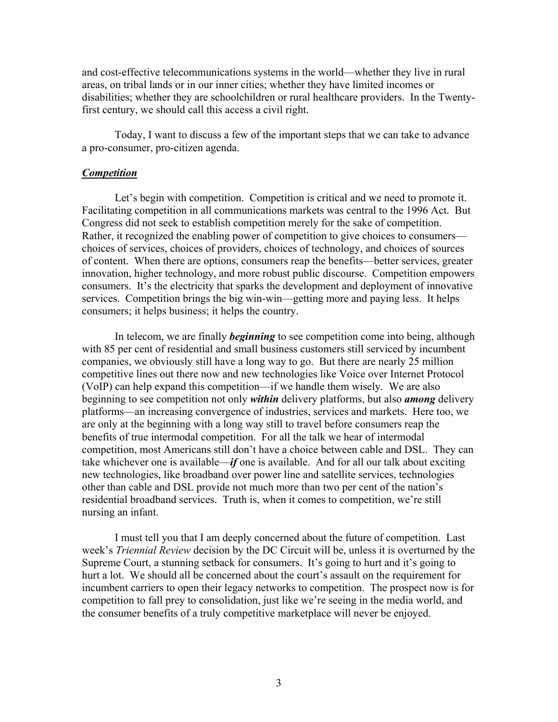and cost-effective telecommunications systems in the world—whether they live in rural areas, on tribal lands or in our inner cities; whether they have limited incomes or disabilities; whether they are schoolchildren or rural healthcare providers. In the Twentyfirst century, we should call this access a civil right.

 Today, I want to discuss a few of the important steps that we can take to advance a pro-consumer, pro-citizen agenda.

## *Competition*

Let's begin with competition. Competition is critical and we need to promote it. Facilitating competition in all communications markets was central to the 1996 Act. But Congress did not seek to establish competition merely for the sake of competition. Rather, it recognized the enabling power of competition to give choices to consumers choices of services, choices of providers, choices of technology, and choices of sources of content. When there are options, consumers reap the benefits—better services, greater innovation, higher technology, and more robust public discourse. Competition empowers consumers. It's the electricity that sparks the development and deployment of innovative services. Competition brings the big win-win—getting more and paying less. It helps consumers; it helps business; it helps the country.

In telecom, we are finally *beginning* to see competition come into being, although with 85 per cent of residential and small business customers still serviced by incumbent companies, we obviously still have a long way to go. But there are nearly 25 million competitive lines out there now and new technologies like Voice over Internet Protocol (VoIP) can help expand this competition—if we handle them wisely. We are also beginning to see competition not only *within* delivery platforms, but also *among* delivery platforms—an increasing convergence of industries, services and markets. Here too, we are only at the beginning with a long way still to travel before consumers reap the benefits of true intermodal competition. For all the talk we hear of intermodal competition, most Americans still don't have a choice between cable and DSL. They can take whichever one is available—*if* one is available. And for all our talk about exciting new technologies, like broadband over power line and satellite services, technologies other than cable and DSL provide not much more than two per cent of the nation's residential broadband services. Truth is, when it comes to competition, we're still nursing an infant.

 I must tell you that I am deeply concerned about the future of competition. Last week's *Triennial Review* decision by the DC Circuit will be, unless it is overturned by the Supreme Court, a stunning setback for consumers. It's going to hurt and it's going to hurt a lot. We should all be concerned about the court's assault on the requirement for incumbent carriers to open their legacy networks to competition. The prospect now is for competition to fall prey to consolidation, just like we're seeing in the media world, and the consumer benefits of a truly competitive marketplace will never be enjoyed.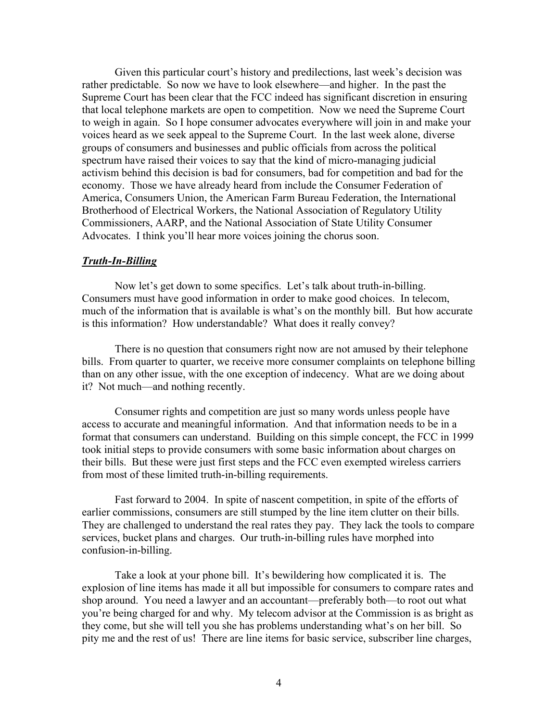Given this particular court's history and predilections, last week's decision was rather predictable. So now we have to look elsewhere—and higher. In the past the Supreme Court has been clear that the FCC indeed has significant discretion in ensuring that local telephone markets are open to competition. Now we need the Supreme Court to weigh in again. So I hope consumer advocates everywhere will join in and make your voices heard as we seek appeal to the Supreme Court. In the last week alone, diverse groups of consumers and businesses and public officials from across the political spectrum have raised their voices to say that the kind of micro-managing judicial activism behind this decision is bad for consumers, bad for competition and bad for the economy. Those we have already heard from include the Consumer Federation of America, Consumers Union, the American Farm Bureau Federation, the International Brotherhood of Electrical Workers, the National Association of Regulatory Utility Commissioners, AARP, and the National Association of State Utility Consumer Advocates. I think you'll hear more voices joining the chorus soon.

### *Truth-In-Billing*

Now let's get down to some specifics. Let's talk about truth-in-billing. Consumers must have good information in order to make good choices. In telecom, much of the information that is available is what's on the monthly bill. But how accurate is this information? How understandable? What does it really convey?

There is no question that consumers right now are not amused by their telephone bills. From quarter to quarter, we receive more consumer complaints on telephone billing than on any other issue, with the one exception of indecency. What are we doing about it? Not much—and nothing recently.

 Consumer rights and competition are just so many words unless people have access to accurate and meaningful information. And that information needs to be in a format that consumers can understand. Building on this simple concept, the FCC in 1999 took initial steps to provide consumers with some basic information about charges on their bills. But these were just first steps and the FCC even exempted wireless carriers from most of these limited truth-in-billing requirements.

Fast forward to 2004. In spite of nascent competition, in spite of the efforts of earlier commissions, consumers are still stumped by the line item clutter on their bills. They are challenged to understand the real rates they pay. They lack the tools to compare services, bucket plans and charges. Our truth-in-billing rules have morphed into confusion-in-billing.

Take a look at your phone bill. It's bewildering how complicated it is. The explosion of line items has made it all but impossible for consumers to compare rates and shop around. You need a lawyer and an accountant—preferably both—to root out what you're being charged for and why. My telecom advisor at the Commission is as bright as they come, but she will tell you she has problems understanding what's on her bill. So pity me and the rest of us! There are line items for basic service, subscriber line charges,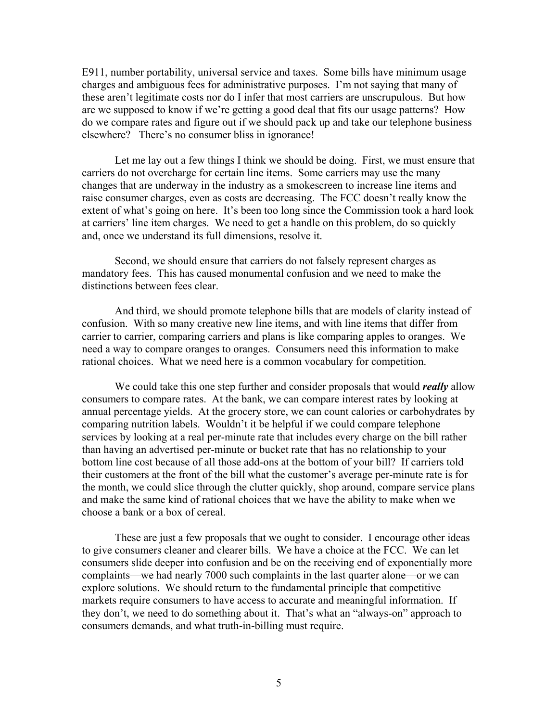E911, number portability, universal service and taxes. Some bills have minimum usage charges and ambiguous fees for administrative purposes. I'm not saying that many of these aren't legitimate costs nor do I infer that most carriers are unscrupulous. But how are we supposed to know if we're getting a good deal that fits our usage patterns? How do we compare rates and figure out if we should pack up and take our telephone business elsewhere? There's no consumer bliss in ignorance!

Let me lay out a few things I think we should be doing. First, we must ensure that carriers do not overcharge for certain line items. Some carriers may use the many changes that are underway in the industry as a smokescreen to increase line items and raise consumer charges, even as costs are decreasing. The FCC doesn't really know the extent of what's going on here. It's been too long since the Commission took a hard look at carriers' line item charges. We need to get a handle on this problem, do so quickly and, once we understand its full dimensions, resolve it.

Second, we should ensure that carriers do not falsely represent charges as mandatory fees. This has caused monumental confusion and we need to make the distinctions between fees clear.

And third, we should promote telephone bills that are models of clarity instead of confusion. With so many creative new line items, and with line items that differ from carrier to carrier, comparing carriers and plans is like comparing apples to oranges. We need a way to compare oranges to oranges. Consumers need this information to make rational choices. What we need here is a common vocabulary for competition.

We could take this one step further and consider proposals that would *really* allow consumers to compare rates. At the bank, we can compare interest rates by looking at annual percentage yields. At the grocery store, we can count calories or carbohydrates by comparing nutrition labels. Wouldn't it be helpful if we could compare telephone services by looking at a real per-minute rate that includes every charge on the bill rather than having an advertised per-minute or bucket rate that has no relationship to your bottom line cost because of all those add-ons at the bottom of your bill? If carriers told their customers at the front of the bill what the customer's average per-minute rate is for the month, we could slice through the clutter quickly, shop around, compare service plans and make the same kind of rational choices that we have the ability to make when we choose a bank or a box of cereal.

 These are just a few proposals that we ought to consider. I encourage other ideas to give consumers cleaner and clearer bills. We have a choice at the FCC. We can let consumers slide deeper into confusion and be on the receiving end of exponentially more complaints—we had nearly 7000 such complaints in the last quarter alone—or we can explore solutions. We should return to the fundamental principle that competitive markets require consumers to have access to accurate and meaningful information. If they don't, we need to do something about it. That's what an "always-on" approach to consumers demands, and what truth-in-billing must require.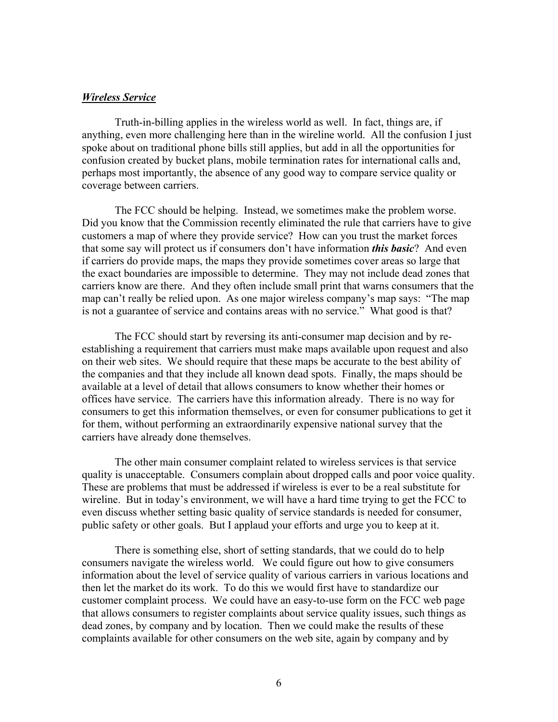#### *Wireless Service*

Truth-in-billing applies in the wireless world as well. In fact, things are, if anything, even more challenging here than in the wireline world. All the confusion I just spoke about on traditional phone bills still applies, but add in all the opportunities for confusion created by bucket plans, mobile termination rates for international calls and, perhaps most importantly, the absence of any good way to compare service quality or coverage between carriers.

The FCC should be helping. Instead, we sometimes make the problem worse. Did you know that the Commission recently eliminated the rule that carriers have to give customers a map of where they provide service? How can you trust the market forces that some say will protect us if consumers don't have information *this basic*? And even if carriers do provide maps, the maps they provide sometimes cover areas so large that the exact boundaries are impossible to determine. They may not include dead zones that carriers know are there. And they often include small print that warns consumers that the map can't really be relied upon. As one major wireless company's map says: "The map is not a guarantee of service and contains areas with no service." What good is that?

 The FCC should start by reversing its anti-consumer map decision and by reestablishing a requirement that carriers must make maps available upon request and also on their web sites. We should require that these maps be accurate to the best ability of the companies and that they include all known dead spots. Finally, the maps should be available at a level of detail that allows consumers to know whether their homes or offices have service. The carriers have this information already. There is no way for consumers to get this information themselves, or even for consumer publications to get it for them, without performing an extraordinarily expensive national survey that the carriers have already done themselves.

 The other main consumer complaint related to wireless services is that service quality is unacceptable. Consumers complain about dropped calls and poor voice quality. These are problems that must be addressed if wireless is ever to be a real substitute for wireline. But in today's environment, we will have a hard time trying to get the FCC to even discuss whether setting basic quality of service standards is needed for consumer, public safety or other goals. But I applaud your efforts and urge you to keep at it.

 There is something else, short of setting standards, that we could do to help consumers navigate the wireless world. We could figure out how to give consumers information about the level of service quality of various carriers in various locations and then let the market do its work. To do this we would first have to standardize our customer complaint process. We could have an easy-to-use form on the FCC web page that allows consumers to register complaints about service quality issues, such things as dead zones, by company and by location. Then we could make the results of these complaints available for other consumers on the web site, again by company and by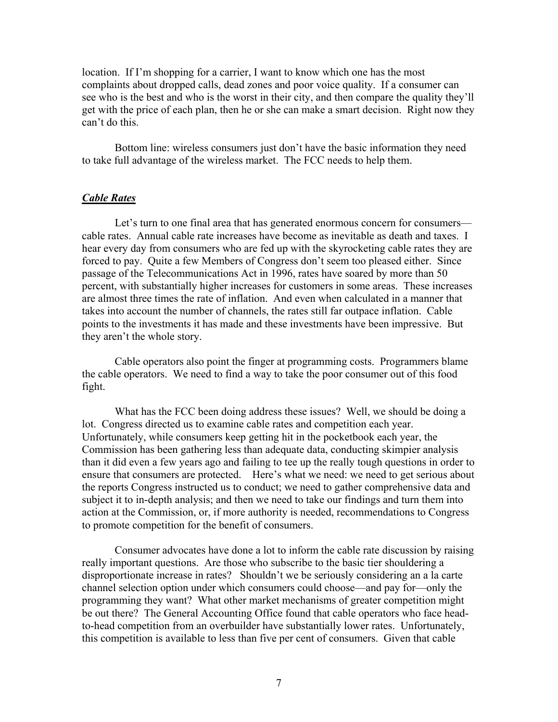location. If I'm shopping for a carrier, I want to know which one has the most complaints about dropped calls, dead zones and poor voice quality. If a consumer can see who is the best and who is the worst in their city, and then compare the quality they'll get with the price of each plan, then he or she can make a smart decision. Right now they can't do this.

Bottom line: wireless consumers just don't have the basic information they need to take full advantage of the wireless market. The FCC needs to help them.

## *Cable Rates*

Let's turn to one final area that has generated enormous concern for consumers cable rates. Annual cable rate increases have become as inevitable as death and taxes. I hear every day from consumers who are fed up with the skyrocketing cable rates they are forced to pay. Quite a few Members of Congress don't seem too pleased either. Since passage of the Telecommunications Act in 1996, rates have soared by more than 50 percent, with substantially higher increases for customers in some areas. These increases are almost three times the rate of inflation. And even when calculated in a manner that takes into account the number of channels, the rates still far outpace inflation. Cable points to the investments it has made and these investments have been impressive. But they aren't the whole story.

Cable operators also point the finger at programming costs. Programmers blame the cable operators. We need to find a way to take the poor consumer out of this food fight.

What has the FCC been doing address these issues? Well, we should be doing a lot. Congress directed us to examine cable rates and competition each year. Unfortunately, while consumers keep getting hit in the pocketbook each year, the Commission has been gathering less than adequate data, conducting skimpier analysis than it did even a few years ago and failing to tee up the really tough questions in order to ensure that consumers are protected. Here's what we need: we need to get serious about the reports Congress instructed us to conduct; we need to gather comprehensive data and subject it to in-depth analysis; and then we need to take our findings and turn them into action at the Commission, or, if more authority is needed, recommendations to Congress to promote competition for the benefit of consumers.

Consumer advocates have done a lot to inform the cable rate discussion by raising really important questions. Are those who subscribe to the basic tier shouldering a disproportionate increase in rates? Shouldn't we be seriously considering an a la carte channel selection option under which consumers could choose—and pay for—only the programming they want? What other market mechanisms of greater competition might be out there? The General Accounting Office found that cable operators who face headto-head competition from an overbuilder have substantially lower rates. Unfortunately, this competition is available to less than five per cent of consumers. Given that cable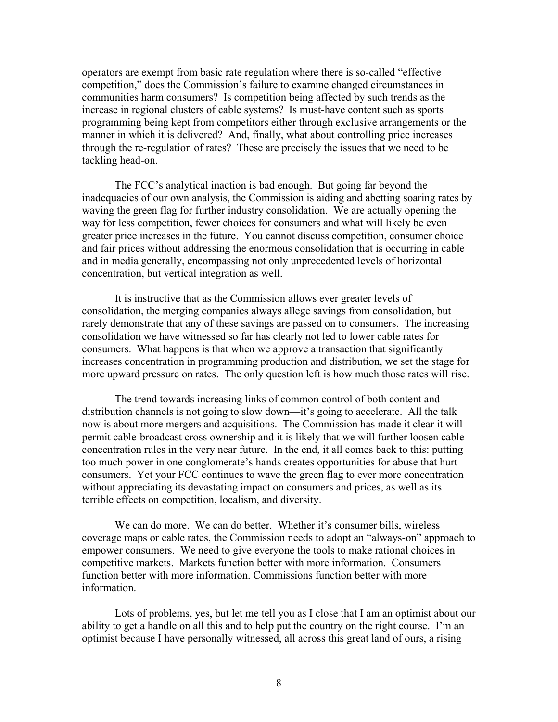operators are exempt from basic rate regulation where there is so-called "effective competition," does the Commission's failure to examine changed circumstances in communities harm consumers? Is competition being affected by such trends as the increase in regional clusters of cable systems? Is must-have content such as sports programming being kept from competitors either through exclusive arrangements or the manner in which it is delivered? And, finally, what about controlling price increases through the re-regulation of rates? These are precisely the issues that we need to be tackling head-on.

The FCC's analytical inaction is bad enough. But going far beyond the inadequacies of our own analysis, the Commission is aiding and abetting soaring rates by waving the green flag for further industry consolidation. We are actually opening the way for less competition, fewer choices for consumers and what will likely be even greater price increases in the future. You cannot discuss competition, consumer choice and fair prices without addressing the enormous consolidation that is occurring in cable and in media generally, encompassing not only unprecedented levels of horizontal concentration, but vertical integration as well.

It is instructive that as the Commission allows ever greater levels of consolidation, the merging companies always allege savings from consolidation, but rarely demonstrate that any of these savings are passed on to consumers. The increasing consolidation we have witnessed so far has clearly not led to lower cable rates for consumers. What happens is that when we approve a transaction that significantly increases concentration in programming production and distribution, we set the stage for more upward pressure on rates. The only question left is how much those rates will rise.

The trend towards increasing links of common control of both content and distribution channels is not going to slow down—it's going to accelerate. All the talk now is about more mergers and acquisitions. The Commission has made it clear it will permit cable-broadcast cross ownership and it is likely that we will further loosen cable concentration rules in the very near future. In the end, it all comes back to this: putting too much power in one conglomerate's hands creates opportunities for abuse that hurt consumers. Yet your FCC continues to wave the green flag to ever more concentration without appreciating its devastating impact on consumers and prices, as well as its terrible effects on competition, localism, and diversity.

We can do more. We can do better. Whether it's consumer bills, wireless coverage maps or cable rates, the Commission needs to adopt an "always-on" approach to empower consumers. We need to give everyone the tools to make rational choices in competitive markets. Markets function better with more information. Consumers function better with more information. Commissions function better with more information.

Lots of problems, yes, but let me tell you as I close that I am an optimist about our ability to get a handle on all this and to help put the country on the right course. I'm an optimist because I have personally witnessed, all across this great land of ours, a rising